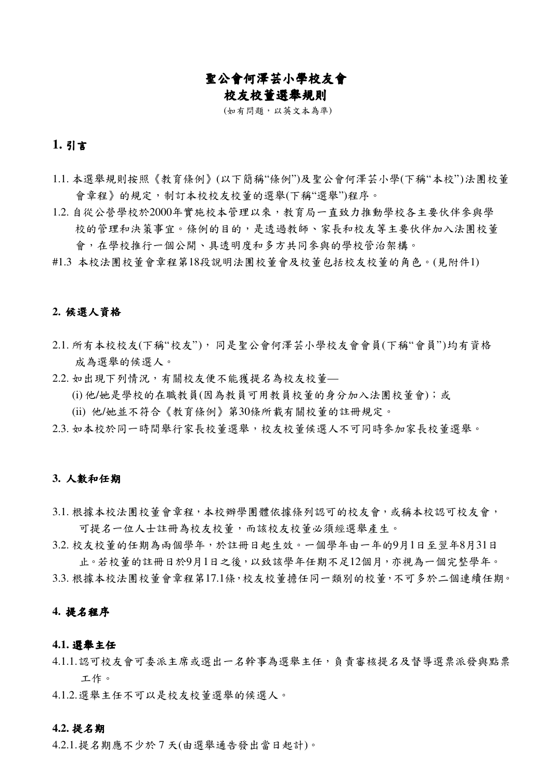# 聖公會何澤芸小學校友會

# 校友校董選舉規則

(如有問題,以英文本為準)

# **1.** 引言

- 1.1. 本選舉規則按照《教育條例》(以下簡稱"條例")及聖公會何澤芸小學(下稱"本校")法團校董 會章程》的規定,制訂本校校友校董的選舉(下稱"選舉")程序。
- 1.2. 自從公營學校於2000年實施校本管理以來,教育局一直致力推動學校各主要伙伴參與學 校的管理和決策事宜。條例的目的,是透過教師、家長和校友等主要伙伴加入法團校董 會,在學校推行一個公開、具透明度和多方共同參與的學校管治架構。
- #1.3 本校法團校董會章程第18段說明法團校董會及校董包括校友校董的角色。(見附件1)

# **2.** 候選人資格

- 2.1. 所有本校校友(下稱"校友"),同是聖公會何澤芸小學校友會會員(下稱"會員")均有資格 成為選舉的候選人。
- 2.2. 如出現下列情況,有關校友便不能獲提名為校友校董–
	- (i) 他/她是學校的在職教員(因為教員可用教員校董的身分加入法團校董會);或
	- (ii) 他/她並不符合《教育條例》第30條所載有關校董的註冊規定。
- 2.3. 如本校於同一時間舉行家長校董選舉,校友校董候選人不可同時參加家長校董選舉。

#### **3.** 人數和任期

- 3.1. 根據本校法團校董會章程,本校辦學團體依據條列認可的校友會,或稱本校認可校友會, 可提名一位人士註冊為校友校董,而該校友校董必須經選舉產生。
- 3.2. 校友校董的任期為兩個學年,於註冊日起生效。一個學年由一年的9月1日至翌年8月31日 止。若校董的註冊日於9月1日之後,以致該學年任期不足12個月,亦視為一個完整學年。

3.3. 根據本校法團校董會章程第17.1條,校友校董擔任同一類別的校董,不可多於二個連續任期。

#### **4.** 提名程序

#### **4.1.** 選舉主任

- 4.1.1.認可校友會可委派主席或選出一名幹事為選舉主任,負責審核提名及督導選票派發與點票 工作。
- 4.1.2.選舉主任不可以是校友校董選舉的候選人。

### **4.2.** 提名期

4.2.1.提名期應不少於 7 天(由選舉通告發出當日起計)。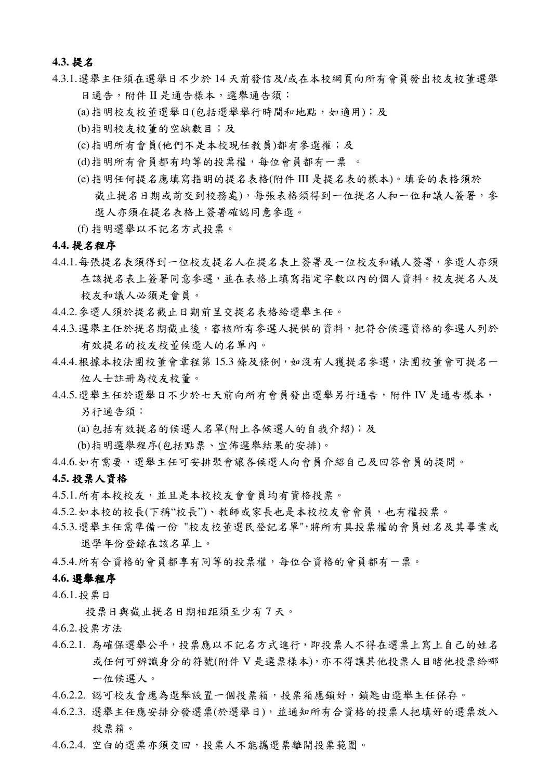# **4.3.** 提名

- 4.3.1.選舉主任須在選舉日不少於 14 天前發信及/或在本校網頁向所有會員發出校友校董選舉 日通告,附件 II 是通告樣本,選舉通告須:
	- (a)指明校友校董選舉日(包括選舉舉行時間和地點,如適用);及
	- (b)指明校友校董的空缺數目;及
	- (c)指明所有會員(他們不是本校現任教員)都有參選權;及
	- (d)指明所有會員都有均等的投票權,每位會員都有一票 。
	- (e)指明任何提名應填寫指眀的提名表格(附件 III 是提名表的樣本)。填妥的表格須於 截止提名日期或前交到校務處),每張表格須得到一位提名人和一位和議人簽署,參 選人亦須在提名表格上簽署確認同意參選。
	- (f) 指明選舉以不記名方式投票。

#### **4.4.** 提名程序

- 4.4.1.每張提名表須得到一位校友提名人在提名表上簽署及一位校友和議人簽署,參選人亦須 在該提名表上簽署同意參選,並在表格上填寫指定字數以內的個人資料。校友提名人及 校友和議人必須是會員。
- 4.4.2.參選人須於提名截止日期前呈交提名表格給選舉主任。
- 4.4.3.選舉主任於提名期截止後,審核所有參選人提供的資料,把符合候選資格的參選人列於 有效提名的校友校董候選人的名單內。
- 4.4.4.根據本校法團校董會章程第 15.3 條及條例,如沒有人獲提名參選,法團校董會可提名一 位人士註冊為校友校董。
- 4.4.5.選舉主任於選舉日不少於七天前向所有會員發出選舉另行通告,附件 IV 是通告樣本, 另行通告須:
	- (a)包括有效提名的候選人名單(附上各候選人的自我介紹);及
	- (b)指明選舉程序(包括點票、宣佈選舉結果的安排)。
- 4.4.6.如有需要,選舉主任可安排聚會讓各候選人向會員介紹自己及回答會員的提問。

#### **4.5.** 投票人資格

- 4.5.1.所有本校校友,並且是本校校友會會員均有資格投票。
- 4.5.2.如本校的校長(下稱"校長")、教師或家長也是本校校友會會員,也有權投票。
- 4.5.3.選舉主任需準備一份 "校友校董選民登記名單",將所有具投票權的會員姓名及其畢業或 退學年份登錄在該名單上。

4.5.4.所有合資格的會員都享有同等的投票權,每位合資格的會員都有一票。

#### **4.6.** 選舉程序

4.6.1.投票日

投票日與截止提名日期相距須至少有 7 天。

4.6.2.投票方法

- 4.6.2.1. 為確保選舉公平,投票應以不記名方式進行,即投票人不得在選票上寫上自己的姓名 或任何可辨識身分的符號(附件 V 是選票樣本),亦不得讓其他投票人目睹他投票給哪 一位候選人。
- 4.6.2.2. 認可校友會應為選舉設置一個投票箱,投票箱應鎖好,鎖匙由選舉主任保存。
- 4.6.2.3. 選舉主任應安排分發選票(於選舉日),並通知所有合資格的投票人把填好的選票放入 投票箱。
- 4.6.2.4. 空白的選票亦須交回,投票人不能攜選票離開投票範圍。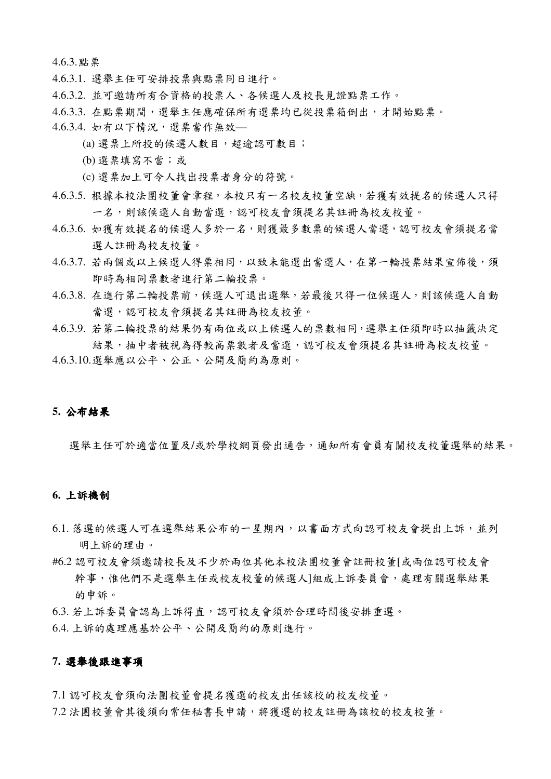4.6.3.點票

- 4.6.3.1. 選舉主任可安排投票與點票同日進行。
- 4.6.3.2. 並可邀請所有合資格的投票人、各候選人及校長見證點票工作。
- 4.6.3.3. 在點票期間,選舉主任應確保所有選票均已從投票箱倒出,才開始點票。
- 4.6.3.4. 如有以下情況,選票當作無效—
	- (a) 選票上所投的候選人數目, 超逾認可數目;
	- (b) 選票填寫不當;或
	- (c) 選票加上可令人找出投票者身分的符號。
- 4.6.3.5. 根據本校法團校董會章程,本校只有一名校友校董空缺,若獲有效提名的候選人只得 一名,則該候選人自動當選,認可校友會須提名其註冊為校友校董。
- 4.6.3.6. 如獲有效提名的候選人多於一名,則獲最多數票的候選人當選,認可校友會須提名當 選人註冊為校友校董。
- 4.6.3.7. 若兩個或以上候選人得票相同,以致未能選出當選人,在第一輪投票結果宣佈後,須 即時為相同票數者進行第二輪投票。
- 4.6.3.8. 在進行第二輪投票前,候選人可退出選舉,若最後只得一位候選人,則該候選人自動 當選,認可校友會須提名其註冊為校友校董。
- 4.6.3.9. 若第二輪投票的結果仍有兩位或以上候選人的票數相同,選舉主任須即時以抽籤決定 結果,抽中者被視為得較高票數者及當選,認可校友會須提名其註冊為校友校董。
- 4.6.3.10.選舉應以公平、公正、公開及簡約為原則。

# **5.** 公布結果

選舉主任可於適當位置及/或於學校網頁發出通告,通知所有會員有關校友校董選舉的結果。

#### **6.** 上訴機制

- 6.1. 落選的候選人可在選舉結果公布的一星期內,以書面方式向認可校友會提出上訴,並列 明上訴的理由。
- #6.2 認可校友會須邀請校長及不少於兩位其他本校法團校董會註冊校董[或兩位認可校友會 幹事,惟他們不是選舉主任或校友校董的候選人]組成上訴委員會,處理有關選舉結果 的申訴。
- 6.3. 若上訴委員會認為上訴得直,認可校友會須於合理時間後安排重選。
- 6.4. 上訴的處理應基於公平、公開及簡約的原則進行。

#### **7.** 選舉後跟進事項

7.1 認可校友會須向法團校董會提名獲選的校友出任該校的校友校董。 7.2 法團校董會其後須向常任秘書長申請,將獲選的校友註冊為該校的校友校董。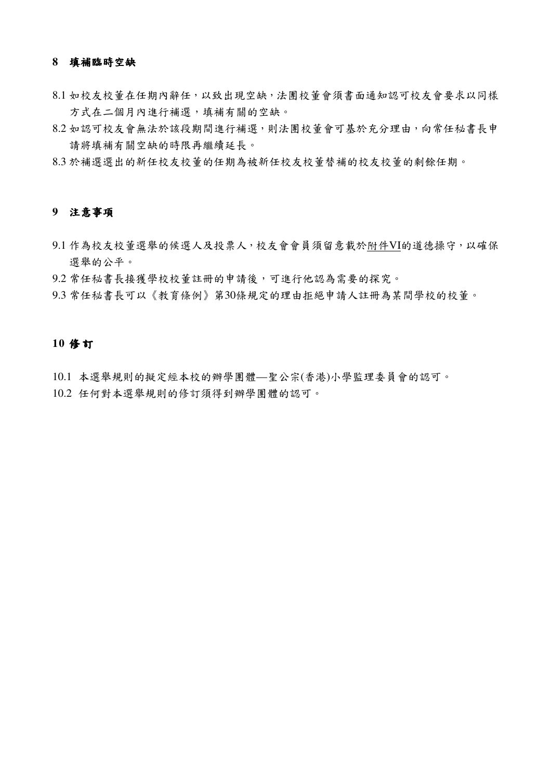# **8** 填補臨時空缺

- 8.1 如校友校董在任期內辭任,以致出現空缺,法團校董會須書面通知認可校友會要求以同樣 方式在二個月內進行補選,填補有關的空缺。
- 8.2 如認可校友會無法於該段期間進行補選,則法團校董會可基於充分理由,向常任秘書長申 請將填補有關空缺的時限再繼續延長。
- 8.3 於補選選出的新任校友校董的任期為被新任校友校董替補的校友校董的剩餘任期。

# **9** 注意事項

- 9.1 作為校友校董選舉的候選人及投票人,校友會會員須留意載於附件VI的道德操守,以確保 選舉的公平。
- 9.2 常任秘書長接獲學校校董註冊的申請後,可進行他認為需要的探究。
- 9.3 常任秘書長可以《教育條例》第30條規定的理由拒絕申請人註冊為某間學校的校董。

# **10** 修訂

10.1 本選舉規則的擬定經本校的辦學團體—聖公宗(香港)小學監理委員會的認可。

10.2 任何對本選舉規則的修訂須得到辦學團體的認可。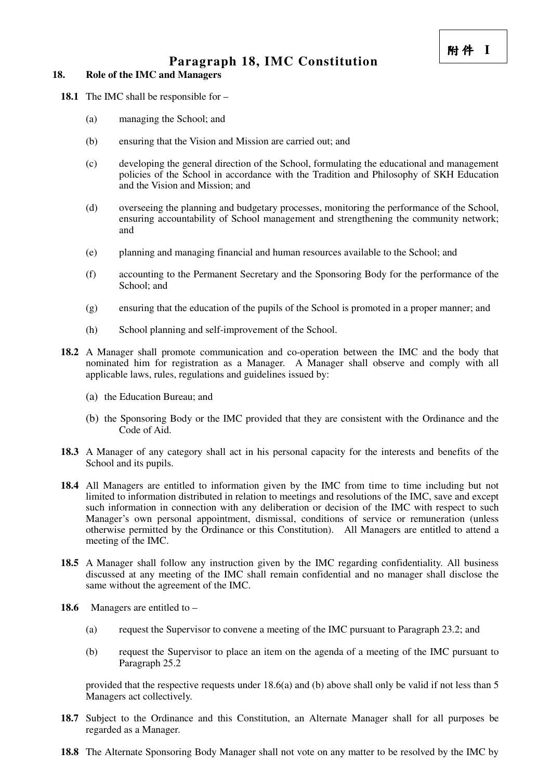# **Paragraph 18, IMC Constitution**

# **18. Role of the IMC and Managers**

- **18.1** The IMC shall be responsible for
	- (a) managing the School; and
	- (b) ensuring that the Vision and Mission are carried out; and
	- (c) developing the general direction of the School, formulating the educational and management policies of the School in accordance with the Tradition and Philosophy of SKH Education and the Vision and Mission; and
	- (d) overseeing the planning and budgetary processes, monitoring the performance of the School, ensuring accountability of School management and strengthening the community network; and
	- (e) planning and managing financial and human resources available to the School; and
	- (f) accounting to the Permanent Secretary and the Sponsoring Body for the performance of the School; and
	- (g) ensuring that the education of the pupils of the School is promoted in a proper manner; and
	- (h) School planning and self-improvement of the School.
- **18.2** A Manager shall promote communication and co-operation between the IMC and the body that nominated him for registration as a Manager. A Manager shall observe and comply with all applicable laws, rules, regulations and guidelines issued by:
	- (a) the Education Bureau; and
	- (b) the Sponsoring Body or the IMC provided that they are consistent with the Ordinance and the Code of Aid.
- **18.3** A Manager of any category shall act in his personal capacity for the interests and benefits of the School and its pupils.
- **18.4** All Managers are entitled to information given by the IMC from time to time including but not limited to information distributed in relation to meetings and resolutions of the IMC, save and except such information in connection with any deliberation or decision of the IMC with respect to such Manager's own personal appointment, dismissal, conditions of service or remuneration (unless otherwise permitted by the Ordinance or this Constitution). All Managers are entitled to attend a meeting of the IMC.
- **18.5** A Manager shall follow any instruction given by the IMC regarding confidentiality. All business discussed at any meeting of the IMC shall remain confidential and no manager shall disclose the same without the agreement of the IMC.
- **18.6** Managers are entitled to
	- (a) request the Supervisor to convene a meeting of the IMC pursuant to Paragraph 23.2; and
	- (b) request the Supervisor to place an item on the agenda of a meeting of the IMC pursuant to Paragraph 25.2

provided that the respective requests under  $18.6(a)$  and (b) above shall only be valid if not less than 5 Managers act collectively.

- **18.7** Subject to the Ordinance and this Constitution, an Alternate Manager shall for all purposes be regarded as a Manager.
- **18.8** The Alternate Sponsoring Body Manager shall not vote on any matter to be resolved by the IMC by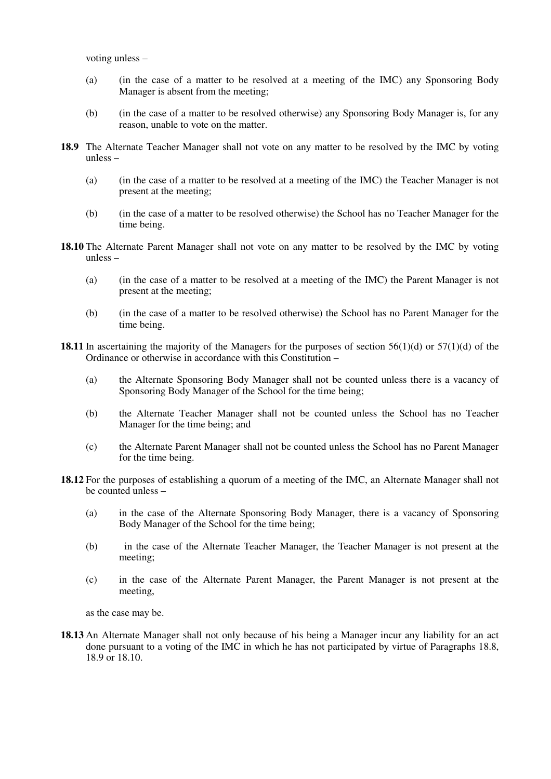voting unless –

- (a) (in the case of a matter to be resolved at a meeting of the IMC) any Sponsoring Body Manager is absent from the meeting;
- (b) (in the case of a matter to be resolved otherwise) any Sponsoring Body Manager is, for any reason, unable to vote on the matter.
- **18.9** The Alternate Teacher Manager shall not vote on any matter to be resolved by the IMC by voting unless –
	- (a) (in the case of a matter to be resolved at a meeting of the IMC) the Teacher Manager is not present at the meeting;
	- (b) (in the case of a matter to be resolved otherwise) the School has no Teacher Manager for the time being.
- **18.10** The Alternate Parent Manager shall not vote on any matter to be resolved by the IMC by voting unless –
	- (a) (in the case of a matter to be resolved at a meeting of the IMC) the Parent Manager is not present at the meeting;
	- (b) (in the case of a matter to be resolved otherwise) the School has no Parent Manager for the time being.
- **18.11** In ascertaining the majority of the Managers for the purposes of section 56(1)(d) or 57(1)(d) of the Ordinance or otherwise in accordance with this Constitution –
	- (a) the Alternate Sponsoring Body Manager shall not be counted unless there is a vacancy of Sponsoring Body Manager of the School for the time being;
	- (b) the Alternate Teacher Manager shall not be counted unless the School has no Teacher Manager for the time being; and
	- (c) the Alternate Parent Manager shall not be counted unless the School has no Parent Manager for the time being.
- **18.12** For the purposes of establishing a quorum of a meeting of the IMC, an Alternate Manager shall not be counted unless –
	- (a) in the case of the Alternate Sponsoring Body Manager, there is a vacancy of Sponsoring Body Manager of the School for the time being;
	- (b) in the case of the Alternate Teacher Manager, the Teacher Manager is not present at the meeting;
	- (c) in the case of the Alternate Parent Manager, the Parent Manager is not present at the meeting,

as the case may be.

**18.13** An Alternate Manager shall not only because of his being a Manager incur any liability for an act done pursuant to a voting of the IMC in which he has not participated by virtue of Paragraphs 18.8, 18.9 or 18.10.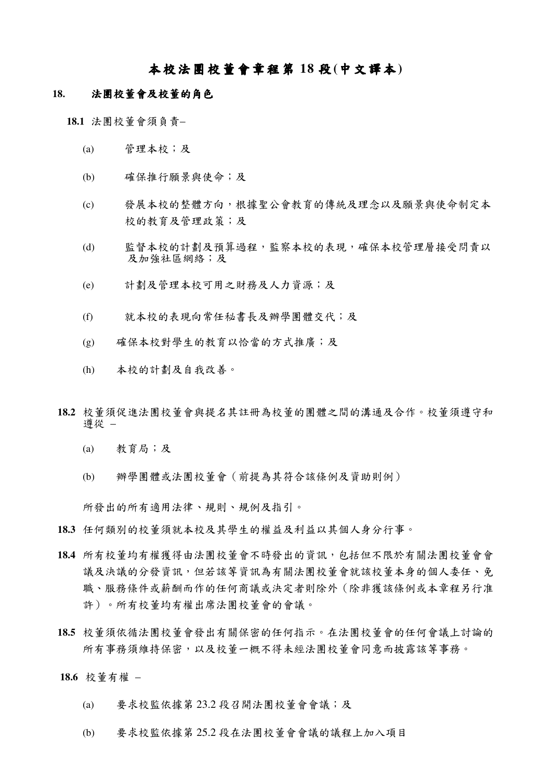# 本校法團校董會章程第 **18** 段**(**中文譯本**)**

#### **18.** 法團校董會及校董的角色

**18.1** 法團校董會須負責–

- (a) 管理本校;及
- (b) 確保推行願景與使命;及
- (c) 發展本校的整體方向,根據聖公會教育的傳統及理念以及願景與使命制定本 校的教育及管理政策;及
- (d) 監督本校的計劃及預算過程,監察本校的表現,確保本校管理層接受問責以 及加強社區網絡;及
- (e) 計劃及管理本校可用之財務及人力資源;及
- (f) 就本校的表現向常任秘書長及辦學團體交代;及
- (g) 確保本校對學生的教育以恰當的方式推廣;及
- (h) 本校的計劃及自我改善。
- **18.2** 校董須促進法團校董會與提名其註冊為校董的團體之間的溝通及合作。校董須遵守和 遵從 –
	- (a) 教育局;及
	- (b) 辦學團體或法團校董會(前提為其符合該條例及資助則例)

所發出的所有適用法律、規則、規例及指引。

- **18.3** 任何類別的校董須就本校及其學生的權益及利益以其個人身分行事。
- **18.4** 所有校董均有權獲得由法團校董會不時發出的資訊,包括但不限於有關法團校董會會 議及決議的分發資訊,但若該等資訊為有關法團校董會就該校董本身的個人委任、免 職、服務條件或薪酬而作的任何商議或決定者則除外(除非獲該條例或本章程另行准 許)。所有校董均有權出席法團校董會的會議。
- **18.5** 校董須依循法團校董會發出有關保密的任何指示。在法團校董會的任何會議上討論的 所有事務須維持保密,以及校董一概不得未經法團校董會同意而披露該等事務。
- **18.6** 校董有權
	- (a) 要求校監依據第 23.2 段召開法團校董會會議;及
	- (b) 要求校監依據第 25.2 段在法團校董會會議的議程上加入項目